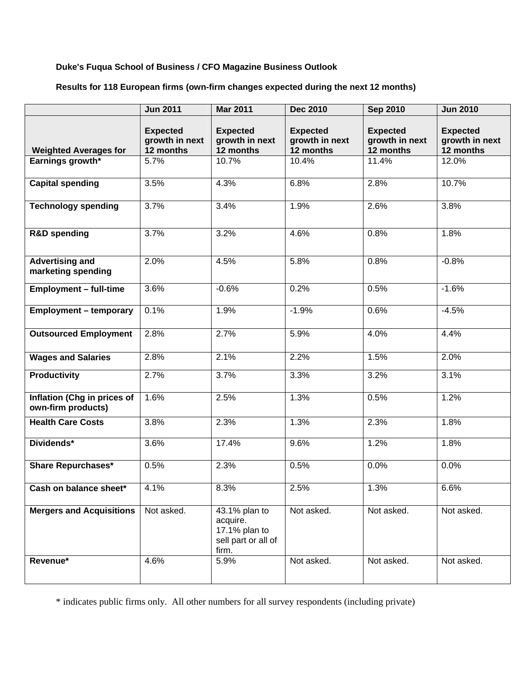## **Duke's Fuqua School of Business / CFO Magazine Business Outlook**

# **Results for 118 European firms (own-firm changes expected during the next 12 months)**

|                                                   | <b>Jun 2011</b>                                | <b>Mar 2011</b>                                                            | Dec 2010                                       | <b>Sep 2010</b>                                | <b>Jun 2010</b>                                |
|---------------------------------------------------|------------------------------------------------|----------------------------------------------------------------------------|------------------------------------------------|------------------------------------------------|------------------------------------------------|
| <b>Weighted Averages for</b>                      | <b>Expected</b><br>growth in next<br>12 months | <b>Expected</b><br>growth in next<br>12 months                             | <b>Expected</b><br>growth in next<br>12 months | <b>Expected</b><br>growth in next<br>12 months | <b>Expected</b><br>growth in next<br>12 months |
| Earnings growth*                                  | 5.7%                                           | 10.7%                                                                      | 10.4%                                          | 11.4%                                          | 12.0%                                          |
| <b>Capital spending</b>                           | 3.5%                                           | 4.3%                                                                       | 6.8%                                           | 2.8%                                           | 10.7%                                          |
| <b>Technology spending</b>                        | 3.7%                                           | 3.4%                                                                       | 1.9%                                           | 2.6%                                           | 3.8%                                           |
| <b>R&amp;D spending</b>                           | 3.7%                                           | 3.2%                                                                       | 4.6%                                           | 0.8%                                           | 1.8%                                           |
| <b>Advertising and</b><br>marketing spending      | 2.0%                                           | 4.5%                                                                       | 5.8%                                           | 0.8%                                           | $-0.8%$                                        |
| <b>Employment - full-time</b>                     | 3.6%                                           | $-0.6%$                                                                    | 0.2%                                           | 0.5%                                           | $-1.6%$                                        |
| <b>Employment - temporary</b>                     | 0.1%                                           | 1.9%                                                                       | $-1.9%$                                        | 0.6%                                           | $-4.5%$                                        |
| <b>Outsourced Employment</b>                      | 2.8%                                           | 2.7%                                                                       | 5.9%                                           | 4.0%                                           | 4.4%                                           |
| <b>Wages and Salaries</b>                         | 2.8%                                           | 2.1%                                                                       | 2.2%                                           | 1.5%                                           | 2.0%                                           |
| <b>Productivity</b>                               | 2.7%                                           | 3.7%                                                                       | 3.3%                                           | 3.2%                                           | 3.1%                                           |
| Inflation (Chg in prices of<br>own-firm products) | 1.6%                                           | 2.5%                                                                       | 1.3%                                           | 0.5%                                           | 1.2%                                           |
| <b>Health Care Costs</b>                          | 3.8%                                           | 2.3%                                                                       | 1.3%                                           | 2.3%                                           | 1.8%                                           |
| Dividends*                                        | 3.6%                                           | 17.4%                                                                      | 9.6%                                           | 1.2%                                           | 1.8%                                           |
| <b>Share Repurchases*</b>                         | 0.5%                                           | 2.3%                                                                       | 0.5%                                           | 0.0%                                           | 0.0%                                           |
| Cash on balance sheet*                            | 4.1%                                           | 8.3%                                                                       | 2.5%                                           | 1.3%                                           | 6.6%                                           |
| <b>Mergers and Acquisitions</b>                   | Not asked.                                     | 43.1% plan to<br>acquire.<br>17.1% plan to<br>sell part or all of<br>firm. | Not asked.                                     | Not asked.                                     | Not asked.                                     |
| Revenue*                                          | 4.6%                                           | 5.9%                                                                       | Not asked.                                     | Not asked.                                     | Not asked.                                     |

\* indicates public firms only. All other numbers for all survey respondents (including private)